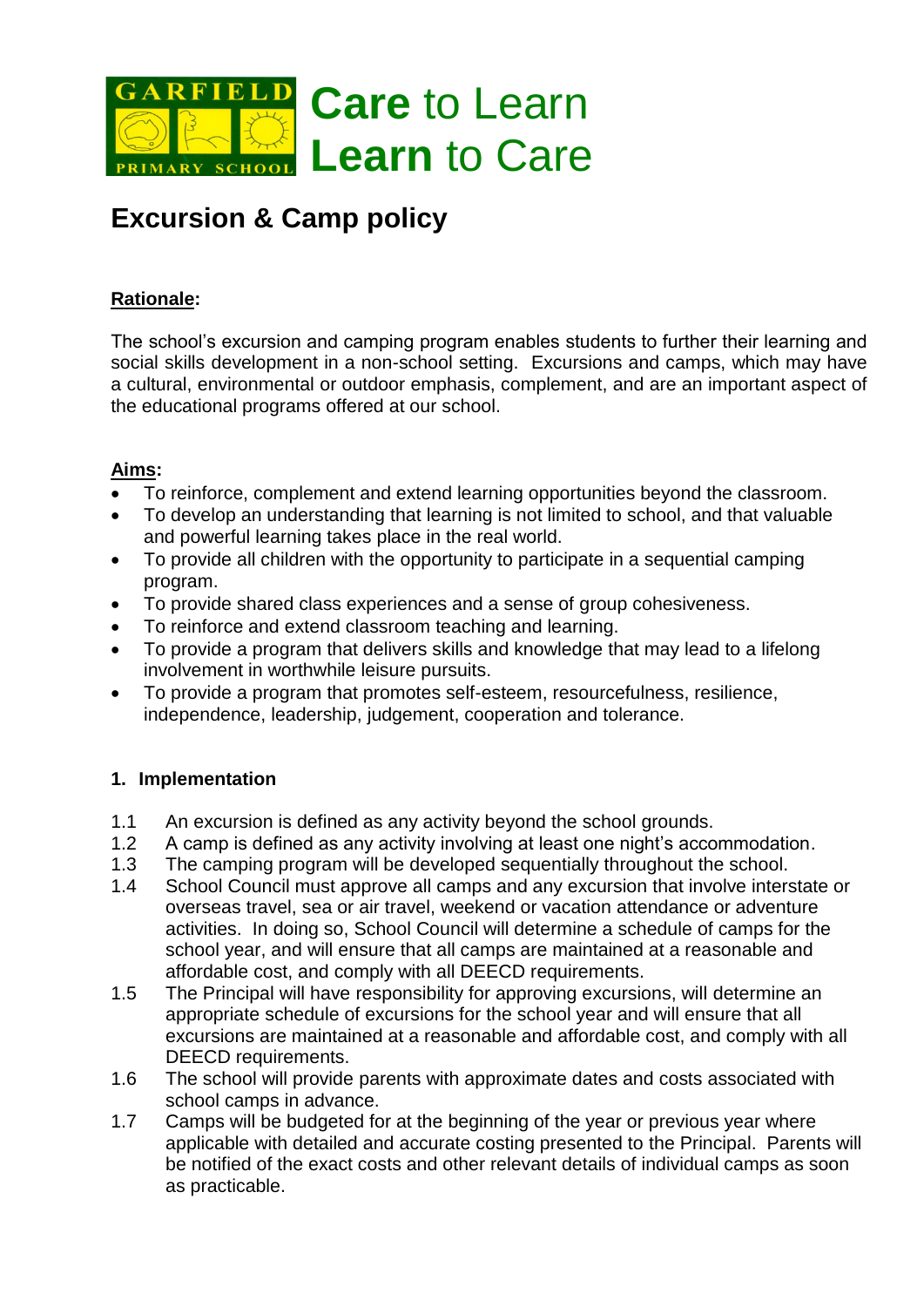

# **Excursion & Camp policy**

## **Rationale:**

The school's excursion and camping program enables students to further their learning and social skills development in a non-school setting. Excursions and camps, which may have a cultural, environmental or outdoor emphasis, complement, and are an important aspect of the educational programs offered at our school.

### **Aims:**

- To reinforce, complement and extend learning opportunities beyond the classroom.
- To develop an understanding that learning is not limited to school, and that valuable and powerful learning takes place in the real world.
- To provide all children with the opportunity to participate in a sequential camping program.
- To provide shared class experiences and a sense of group cohesiveness.
- To reinforce and extend classroom teaching and learning.
- To provide a program that delivers skills and knowledge that may lead to a lifelong involvement in worthwhile leisure pursuits.
- To provide a program that promotes self-esteem, resourcefulness, resilience, independence, leadership, judgement, cooperation and tolerance.

### **1. Implementation**

- 1.1 An excursion is defined as any activity beyond the school grounds.
- 1.2 A camp is defined as any activity involving at least one night's accommodation.
- 1.3 The camping program will be developed sequentially throughout the school.
- 1.4 School Council must approve all camps and any excursion that involve interstate or overseas travel, sea or air travel, weekend or vacation attendance or adventure activities. In doing so, School Council will determine a schedule of camps for the school year, and will ensure that all camps are maintained at a reasonable and affordable cost, and comply with all DEECD requirements.
- 1.5 The Principal will have responsibility for approving excursions, will determine an appropriate schedule of excursions for the school year and will ensure that all excursions are maintained at a reasonable and affordable cost, and comply with all DEECD requirements.
- 1.6 The school will provide parents with approximate dates and costs associated with school camps in advance.
- 1.7 Camps will be budgeted for at the beginning of the year or previous year where applicable with detailed and accurate costing presented to the Principal. Parents will be notified of the exact costs and other relevant details of individual camps as soon as practicable.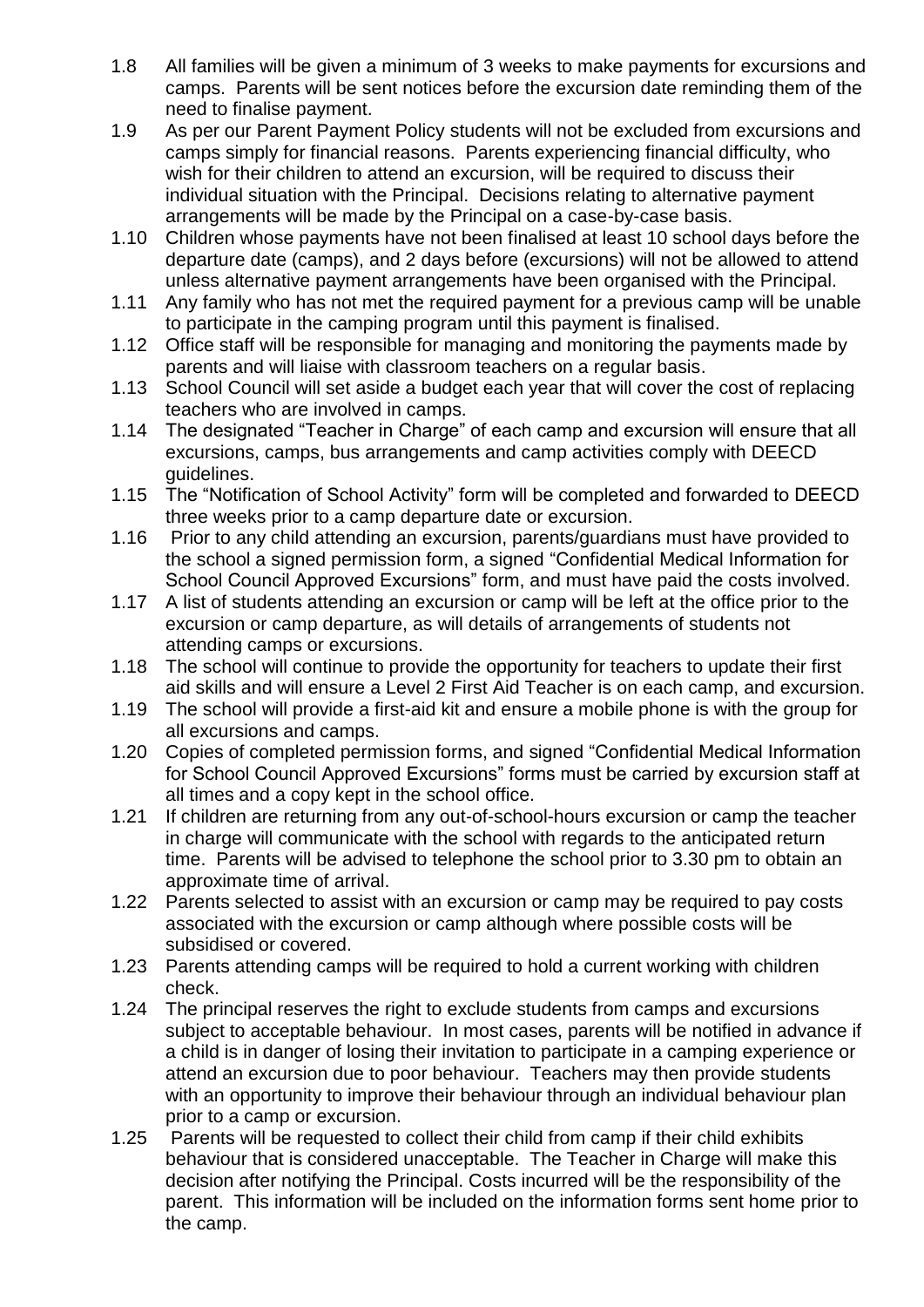- 1.8 All families will be given a minimum of 3 weeks to make payments for excursions and camps. Parents will be sent notices before the excursion date reminding them of the need to finalise payment.
- 1.9 As per our Parent Payment Policy students will not be excluded from excursions and camps simply for financial reasons. Parents experiencing financial difficulty, who wish for their children to attend an excursion, will be required to discuss their individual situation with the Principal. Decisions relating to alternative payment arrangements will be made by the Principal on a case-by-case basis.
- 1.10 Children whose payments have not been finalised at least 10 school days before the departure date (camps), and 2 days before (excursions) will not be allowed to attend unless alternative payment arrangements have been organised with the Principal.
- 1.11 Any family who has not met the required payment for a previous camp will be unable to participate in the camping program until this payment is finalised.
- 1.12 Office staff will be responsible for managing and monitoring the payments made by parents and will liaise with classroom teachers on a regular basis.
- 1.13 School Council will set aside a budget each year that will cover the cost of replacing teachers who are involved in camps.
- 1.14 The designated "Teacher in Charge" of each camp and excursion will ensure that all excursions, camps, bus arrangements and camp activities comply with DEECD guidelines.
- 1.15 The "Notification of School Activity" form will be completed and forwarded to DEECD three weeks prior to a camp departure date or excursion.
- 1.16 Prior to any child attending an excursion, parents/guardians must have provided to the school a signed permission form, a signed "Confidential Medical Information for School Council Approved Excursions" form, and must have paid the costs involved.
- 1.17 A list of students attending an excursion or camp will be left at the office prior to the excursion or camp departure, as will details of arrangements of students not attending camps or excursions.
- 1.18 The school will continue to provide the opportunity for teachers to update their first aid skills and will ensure a Level 2 First Aid Teacher is on each camp, and excursion.
- 1.19 The school will provide a first-aid kit and ensure a mobile phone is with the group for all excursions and camps.
- 1.20 Copies of completed permission forms, and signed "Confidential Medical Information for School Council Approved Excursions" forms must be carried by excursion staff at all times and a copy kept in the school office.
- 1.21 If children are returning from any out-of-school-hours excursion or camp the teacher in charge will communicate with the school with regards to the anticipated return time. Parents will be advised to telephone the school prior to 3.30 pm to obtain an approximate time of arrival.
- 1.22 Parents selected to assist with an excursion or camp may be required to pay costs associated with the excursion or camp although where possible costs will be subsidised or covered.
- 1.23 Parents attending camps will be required to hold a current working with children check.
- 1.24 The principal reserves the right to exclude students from camps and excursions subject to acceptable behaviour. In most cases, parents will be notified in advance if a child is in danger of losing their invitation to participate in a camping experience or attend an excursion due to poor behaviour. Teachers may then provide students with an opportunity to improve their behaviour through an individual behaviour plan prior to a camp or excursion.
- 1.25 Parents will be requested to collect their child from camp if their child exhibits behaviour that is considered unacceptable. The Teacher in Charge will make this decision after notifying the Principal. Costs incurred will be the responsibility of the parent. This information will be included on the information forms sent home prior to the camp.